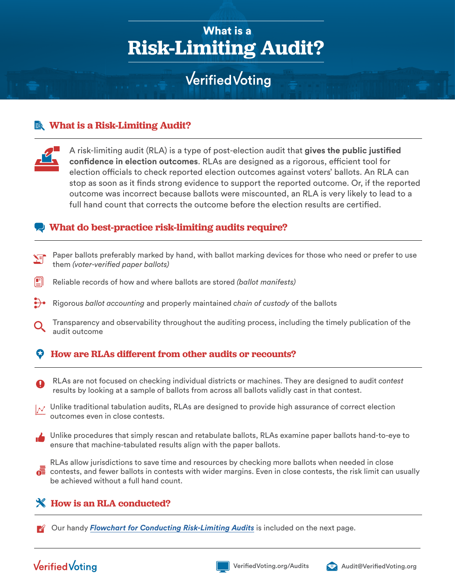## **Risk-Limiting Audit?** What is a

# **Verified Voting**

### **What is a Risk-Limiting Audit?**

A risk-limiting audit (RLA) is a type of post-election audit that **gives the public justified confidence in election outcomes**. RLAs are designed as a rigorous, efficient tool for election officials to check reported election outcomes against voters' ballots. An RLA can stop as soon as it finds strong evidence to support the reported outcome. Or, if the reported outcome was incorrect because ballots were miscounted, an RLA is very likely to lead to a full hand count that corrects the outcome before the election results are certified.

#### **What do best-practice risk-limiting audits require?**

- Paper ballots preferably marked by hand, with ballot marking devices for those who need or prefer to use them *(voter-verified paper ballots)*
- Reliable records of how and where ballots are stored *(ballot manifests)*
- $\leftrightarrow$ Rigorous *ballot accounting* and properly maintained *chain of custody* of the ballots
- Transparency and observability throughout the auditing process, including the timely publication of the audit outcome

#### Ø **How are RLAs different from other audits or recounts?**

- RLAs are not focused on checking individual districts or machines. They are designed to audit *contest*  $\mathbf \Omega$ results by looking at a sample of ballots from across all ballots validly cast in that contest.
- $\mathcal{N}$  Unlike traditional tabulation audits, RLAs are designed to provide high assurance of correct election outcomes even in close contests.
- Unlike procedures that simply rescan and retabulate ballots, RLAs examine paper ballots hand-to-eye to ensure that machine-tabulated results align with the paper ballots.
- RLAs allow jurisdictions to save time and resources by checking more ballots when needed in close  $\overline{0}$  contests, and fewer ballots in contests with wider margins. Even in close contests, the risk limit can usually be achieved without a full hand count.

#### **How is an RLA conducted?**

Our handy *[Flowchart for Conducting Risk-Limiting Audits](https://verifiedvoting.org/publication/a-verified-voting-flowchart-for-conducting-risk-limiting-audits/)* is included on the next page.

### **Verified Voting**